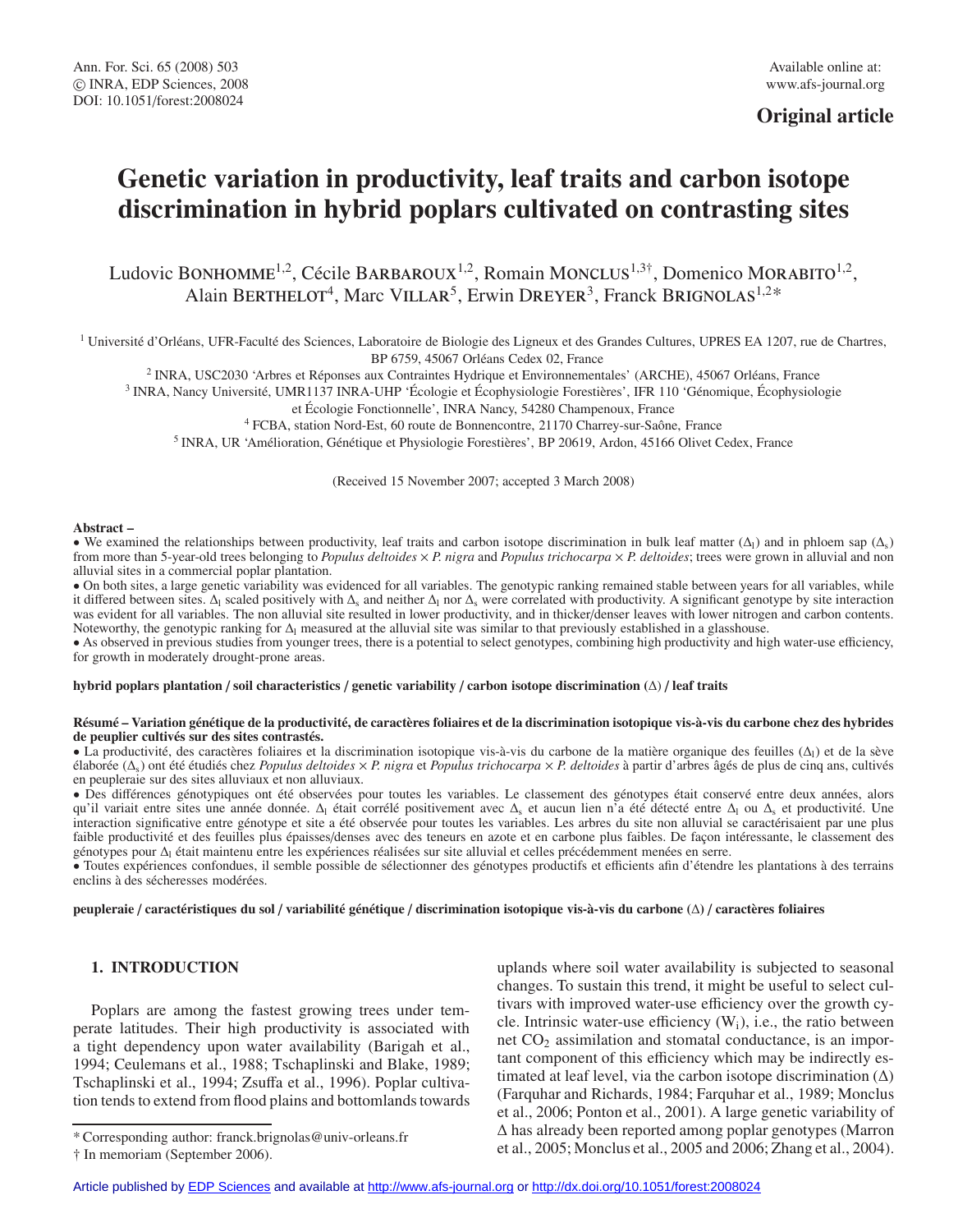# **Original article**

# **Genetic variation in productivity, leaf traits and carbon isotope discrimination in hybrid poplars cultivated on contrasting sites**

Ludovic BONHOMME<sup>1,2</sup>, Cécile BARBAROUX<sup>1,2</sup>, Romain MONCLUS<sup>1,3†</sup>, Domenico MORABITO<sup>1,2</sup>, Alain BERTHELOT<sup>4</sup>, Marc VILLAR<sup>5</sup>, Erwin DREYER<sup>3</sup>, Franck BRIGNOLAS<sup>1,2\*</sup>

<sup>1</sup> Université d'Orléans, UFR-Faculté des Sciences, Laboratoire de Biologie des Ligneux et des Grandes Cultures, UPRES EA 1207, rue de Chartres, BP 6759, 45067 Orléans Cedex 02, France

<sup>2</sup> INRA, USC2030 'Arbres et Réponses aux Contraintes Hydrique et Environnementales' (ARCHE), 45067 Orléans, France

<sup>3</sup> INRA, Nancy Université, UMR1137 INRA-UHP 'Écologie et Écophysiologie Forestières', IFR 110 'Génomique, Écophysiologie

et Écologie Fonctionnelle', INRA Nancy, 54280 Champenoux, France

<sup>4</sup> FCBA, station Nord-Est, 60 route de Bonnencontre, 21170 Charrey-sur-Saône, France

<sup>5</sup> INRA, UR 'Amélioration, Génétique et Physiologie Forestières', BP 20619, Ardon, 45166 Olivet Cedex, France

(Received 15 November 2007; accepted 3 March 2008)

#### **Abstract –**

• We examined the relationships between productivity, leaf traits and carbon isotope discrimination in bulk leaf matter  $(\Delta_1)$  and in phloem sap  $(\Delta_2)$ from more than 5-year-old trees belonging to *Populus deltoides* × *P. nigra* and *Populus trichocarpa* × *P. deltoides*; trees were grown in alluvial and non alluvial sites in a commercial poplar plantation.

• On both sites, a large genetic variability was evidenced for all variables. The genotypic ranking remained stable between years for all variables, while it differed between sites. Δ<sub>l</sub> scaled positively with  $\Delta_s$  and neither  $\Delta_l$  nor  $\Delta_s$  were correlated with productivity. A significant genotype by site interaction was evident for all variables. The non alluvial site resulted in lower productivity, and in thicker/denser leaves with lower nitrogen and carbon contents. Noteworthy, the genotypic ranking for  $\Delta$ <sub>l</sub> measured at the alluvial site was similar to that previously established in a glasshouse.

• As observed in previous studies from younger trees, there is a potential to select genotypes, combining high productivity and high water-use efficiency, for growth in moderately drought-prone areas.

#### **hybrid poplars plantation** / **soil characteristics** / **genetic variability** / **carbon isotope discrimination (**Δ) / **leaf traits**

#### **Résumé – Variation génétique de la productivité, de caractères foliaires et de la discrimination isotopique vis-à-vis du carbone chez des hybrides de peuplier cultivés sur des sites contrastés.**

• La productivité, des caractères foliaires et la discrimination isotopique vis-à-vis du carbone de la matière organique des feuilles ( $\Delta$ ) et de la sève élaborée (Δs) ont été étudiés chez *Populus deltoides* × *P. nigra* et *Populus trichocarpa* × *P. deltoides* à partir d'arbres âgés de plus de cinq ans, cultivés en peupleraie sur des sites alluviaux et non alluviaux.

• Des différences génotypiques ont été observées pour toutes les variables. Le classement des génotypes était conservé entre deux années, alors qu'il variait entre sites une année donnée.  $\Delta_1$  était corrélé positivement avec  $\Delta_s$  et aucun lien n'a été détecté entre  $\Delta_1$  ou  $\Delta_s$  et productivité. Une interaction significative entre génotype et site a été observée pour toutes les variables. Les arbres du site non alluvial se caractérisaient par une plus faible productivité et des feuilles plus épaisses/denses avec des teneurs en azote et en carbone plus faibles. De façon intéressante, le classement des génotypes pour Δ<sub>l</sub> était maintenu entre les expériences réalisées sur site alluvial et celles précédemment menées en serre.

• Toutes expériences confondues, il semble possible de sélectionner des génotypes productifs et efficients afin d'étendre les plantations à des terrains enclins à des sécheresses modérées.

**peupleraie** / **caractéristiques du sol** / **variabilité génétique** / **discrimination isotopique vis-à-vis du carbone (**Δ**)** / **caractères foliaires**

## **1. INTRODUCTION**

Poplars are among the fastest growing trees under temperate latitudes. Their high productivity is associated with a tight dependency upon water availability (Barigah et al., 1994; Ceulemans et al., 1988; Tschaplinski and Blake, 1989; Tschaplinski et al., 1994; Zsuffa et al., 1996). Poplar cultivation tends to extend from flood plains and bottomlands towards

uplands where soil water availability is subjected to seasonal changes. To sustain this trend, it might be useful to select cultivars with improved water-use efficiency over the growth cycle. Intrinsic water-use efficiency  $(W_i)$ , i.e., the ratio between net  $CO<sub>2</sub>$  assimilation and stomatal conductance, is an important component of this efficiency which may be indirectly estimated at leaf level, via the carbon isotope discrimination  $(\Delta)$ (Farquhar and Richards, 1984; Farquhar et al., 1989; Monclus et al., 2006; Ponton et al., 2001). A large genetic variability of Δ has already been reported among poplar genotypes (Marron et al., 2005; Monclus et al., 2005 and 2006; Zhang et al., 2004).

<sup>\*</sup> Corresponding author: franck.brignolas@univ-orleans.fr

<sup>†</sup> In memoriam (September 2006).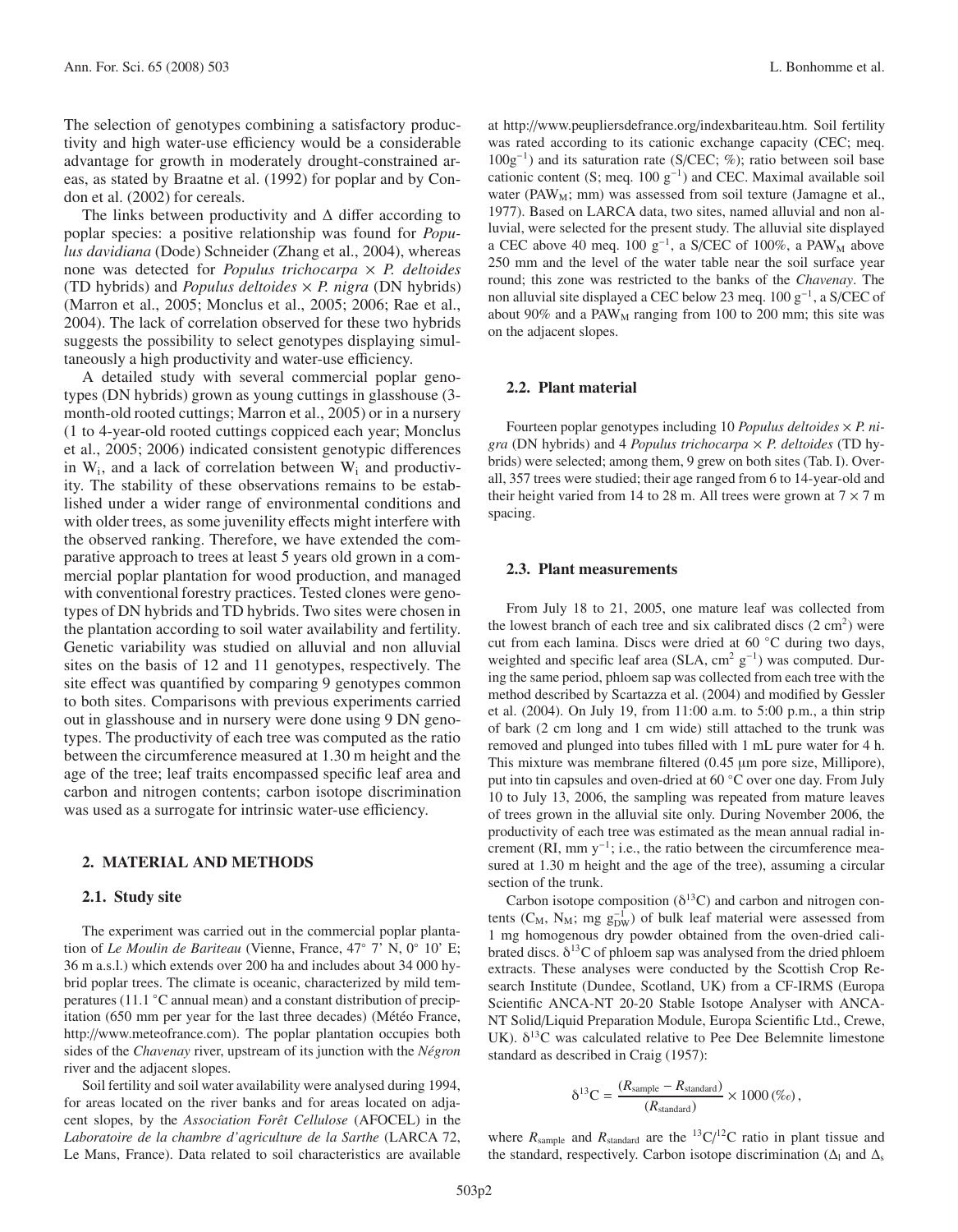The selection of genotypes combining a satisfactory productivity and high water-use efficiency would be a considerable advantage for growth in moderately drought-constrained areas, as stated by Braatne et al. (1992) for poplar and by Condon et al. (2002) for cereals.

The links between productivity and  $\Delta$  differ according to poplar species: a positive relationship was found for *Populus davidiana* (Dode) Schneider (Zhang et al., 2004), whereas none was detected for *Populus trichocarpa* × *P. deltoides* (TD hybrids) and *Populus deltoides* × *P. nigra* (DN hybrids) (Marron et al., 2005; Monclus et al., 2005; 2006; Rae et al., 2004). The lack of correlation observed for these two hybrids suggests the possibility to select genotypes displaying simultaneously a high productivity and water-use efficiency.

A detailed study with several commercial poplar genotypes (DN hybrids) grown as young cuttings in glasshouse (3 month-old rooted cuttings; Marron et al., 2005) or in a nursery (1 to 4-year-old rooted cuttings coppiced each year; Monclus et al., 2005; 2006) indicated consistent genotypic differences in  $W_i$ , and a lack of correlation between  $W_i$  and productivity. The stability of these observations remains to be established under a wider range of environmental conditions and with older trees, as some juvenility effects might interfere with the observed ranking. Therefore, we have extended the comparative approach to trees at least 5 years old grown in a commercial poplar plantation for wood production, and managed with conventional forestry practices. Tested clones were genotypes of DN hybrids and TD hybrids. Two sites were chosen in the plantation according to soil water availability and fertility. Genetic variability was studied on alluvial and non alluvial sites on the basis of 12 and 11 genotypes, respectively. The site effect was quantified by comparing 9 genotypes common to both sites. Comparisons with previous experiments carried out in glasshouse and in nursery were done using 9 DN genotypes. The productivity of each tree was computed as the ratio between the circumference measured at 1.30 m height and the age of the tree; leaf traits encompassed specific leaf area and carbon and nitrogen contents; carbon isotope discrimination was used as a surrogate for intrinsic water-use efficiency.

## **2. MATERIAL AND METHODS**

#### **2.1. Study site**

The experiment was carried out in the commercial poplar plantation of *Le Moulin de Bariteau* (Vienne, France, 47◦ 7' N, 0◦ 10' E; 36 m a.s.l.) which extends over 200 ha and includes about 34 000 hybrid poplar trees. The climate is oceanic, characterized by mild temperatures (11.1 ◦C annual mean) and a constant distribution of precipitation (650 mm per year for the last three decades) (Météo France, http://www.meteofrance.com). The poplar plantation occupies both sides of the *Chavenay* river, upstream of its junction with the *Négron* river and the adjacent slopes.

Soil fertility and soil water availability were analysed during 1994, for areas located on the river banks and for areas located on adjacent slopes, by the *Association Forêt Cellulose* (AFOCEL) in the *Laboratoire de la chambre d'agriculture de la Sarthe* (LARCA 72, Le Mans, France). Data related to soil characteristics are available

at http://www.peupliersdefrance.org/indexbariteau.htm. Soil fertility was rated according to its cationic exchange capacity (CEC; meq. 100g−1) and its saturation rate (S/CEC; %); ratio between soil base cationic content (S; meq. 100  $g^{-1}$ ) and CEC. Maximal available soil water (PAW<sub>M</sub>; mm) was assessed from soil texture (Jamagne et al., 1977). Based on LARCA data, two sites, named alluvial and non alluvial, were selected for the present study. The alluvial site displayed a CEC above 40 meq. 100  $g^{-1}$ , a S/CEC of 100%, a PAW<sub>M</sub> above 250 mm and the level of the water table near the soil surface year round; this zone was restricted to the banks of the *Chavenay*. The non alluvial site displayed a CEC below 23 meq. 100 g<sup>-1</sup>, a S/CEC of about 90% and a  $PAW_M$  ranging from 100 to 200 mm; this site was on the adjacent slopes.

#### **2.2. Plant material**

Fourteen poplar genotypes including 10 *Populus deltoides* × *P. nigra* (DN hybrids) and 4 *Populus trichocarpa* × *P. deltoides* (TD hybrids) were selected; among them, 9 grew on both sites (Tab. I). Overall, 357 trees were studied; their age ranged from 6 to 14-year-old and their height varied from 14 to 28 m. All trees were grown at  $7 \times 7$  m spacing.

#### **2.3. Plant measurements**

From July 18 to 21, 2005, one mature leaf was collected from the lowest branch of each tree and six calibrated discs  $(2 \text{ cm}^2)$  were cut from each lamina. Discs were dried at 60 ◦C during two days, weighted and specific leaf area (SLA, cm<sup>2</sup> g<sup>-1</sup>) was computed. During the same period, phloem sap was collected from each tree with the method described by Scartazza et al. (2004) and modified by Gessler et al. (2004). On July 19, from 11:00 a.m. to 5:00 p.m., a thin strip of bark (2 cm long and 1 cm wide) still attached to the trunk was removed and plunged into tubes filled with 1 mL pure water for 4 h. This mixture was membrane filtered (0.45 μm pore size, Millipore), put into tin capsules and oven-dried at 60 ◦C over one day. From July 10 to July 13, 2006, the sampling was repeated from mature leaves of trees grown in the alluvial site only. During November 2006, the productivity of each tree was estimated as the mean annual radial increment (RI, mm  $y^{-1}$ ; i.e., the ratio between the circumference measured at 1.30 m height and the age of the tree), assuming a circular section of the trunk.

Carbon isotope composition ( $\delta^{13}$ C) and carbon and nitrogen contents ( $C_M$ ,  $N_M$ ; mg  $g_{DW}^{-1}$ ) of bulk leaf material were assessed from 1 mg homogenous dry powder obtained from the oven-dried calibrated discs.  $\delta^{13}$ C of phloem sap was analysed from the dried phloem extracts. These analyses were conducted by the Scottish Crop Research Institute (Dundee, Scotland, UK) from a CF-IRMS (Europa Scientific ANCA-NT 20-20 Stable Isotope Analyser with ANCA-NT Solid/Liquid Preparation Module, Europa Scientific Ltd., Crewe, UK).  $\delta^{13}$ C was calculated relative to Pee Dee Belemnite limestone standard as described in Craig (1957):

$$
\delta^{13}C = \frac{(R_{\text{sample}} - R_{\text{standard}})}{(R_{\text{standard}})} \times 1000 \, (\%_o),
$$

where  $R_{\text{sample}}$  and  $R_{\text{standard}}$  are the <sup>13</sup>C/<sup>12</sup>C ratio in plant tissue and the standard, respectively. Carbon isotope discrimination ( $\Delta$ <sub>l</sub> and  $\Delta$ <sub>s</sub>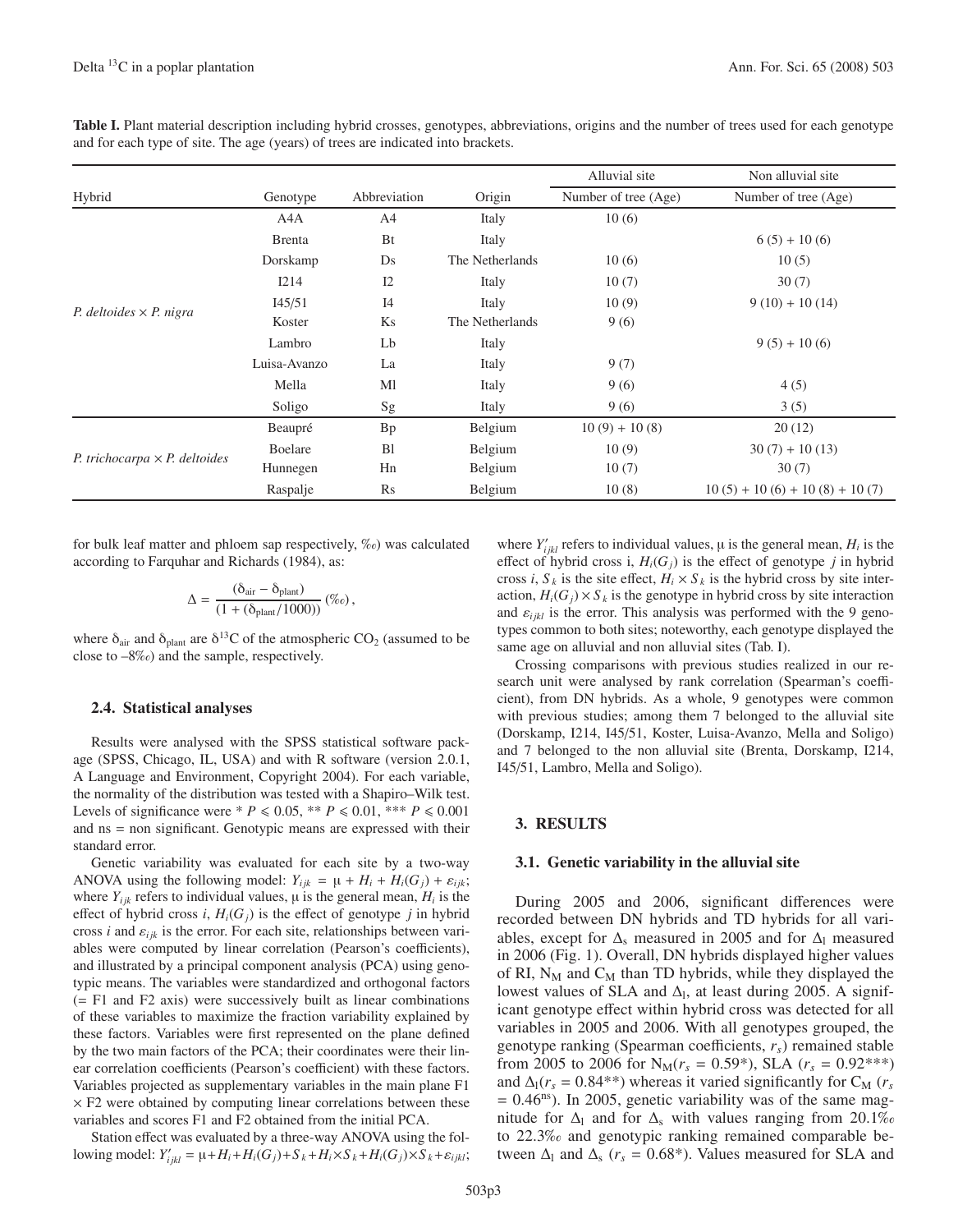|                                      |                |                |                 | Alluvial site        | Non alluvial site               |  |  |
|--------------------------------------|----------------|----------------|-----------------|----------------------|---------------------------------|--|--|
| Hybrid                               | Genotype       | Abbreviation   | Origin          | Number of tree (Age) | Number of tree (Age)            |  |  |
|                                      | A4A            | A4             | Italy           | 10(6)                |                                 |  |  |
| P. deltoides $\times$ P. nigra       | <b>B</b> renta | Bt             | Italy           |                      | $6(5) + 10(6)$                  |  |  |
|                                      | Dorskamp       | Ds             | The Netherlands | 10(6)                | 10(5)                           |  |  |
|                                      | <b>I214</b>    | I2             | Italy           | 10(7)                | 30(7)                           |  |  |
|                                      | I45/51         | I <sub>4</sub> | Italy           | 10(9)                | $9(10) + 10(14)$                |  |  |
|                                      | Koster         | Ks             | The Netherlands | 9(6)                 |                                 |  |  |
|                                      | Lambro         | Lb             | Italy           |                      | $9(5) + 10(6)$                  |  |  |
|                                      | Luisa-Avanzo   | La             | Italy           | 9(7)                 |                                 |  |  |
|                                      | Mella          | Ml             | Italy           | 9(6)                 | 4(5)                            |  |  |
|                                      | Soligo         | Sg             | Italy           | 9(6)                 | 3(5)                            |  |  |
|                                      | Beaupré        | <b>Bp</b>      | Belgium         | $10(9) + 10(8)$      | 20(12)                          |  |  |
|                                      | Boelare        | B <sub>1</sub> | Belgium         | 10(9)                | $30(7) + 10(13)$                |  |  |
| P. trichocarpa $\times$ P. deltoides | Hunnegen       | Hn             | Belgium         | 10(7)                | 30(7)                           |  |  |
|                                      | Raspalje       | Rs             | Belgium         | 10(8)                | $10(5) + 10(6) + 10(8) + 10(7)$ |  |  |

Table I. Plant material description including hybrid crosses, genotypes, abbreviations, origins and the number of trees used for each genotype and for each type of site. The age (years) of trees are indicated into brackets.

for bulk leaf matter and phloem sap respectively, ‰) was calculated according to Farquhar and Richards (1984), as:

$$
\Delta = \frac{(\delta_{\text{air}} - \delta_{\text{plant}})}{(1 + (\delta_{\text{plant}}/1000))} (\%),
$$

where  $\delta_{\text{air}}$  and  $\delta_{\text{plant}}$  are  $\delta^{13}$ C of the atmospheric CO<sub>2</sub> (assumed to be close to –8‰) and the sample, respectively.

## **2.4. Statistical analyses**

Results were analysed with the SPSS statistical software package (SPSS, Chicago, IL, USA) and with R software (version 2.0.1, A Language and Environment, Copyright 2004). For each variable, the normality of the distribution was tested with a Shapiro–Wilk test. Levels of significance were  $* P \le 0.05$ ,  $* P \le 0.01$ ,  $* * P \le 0.001$ and ns = non significant. Genotypic means are expressed with their standard error.

Genetic variability was evaluated for each site by a two-way ANOVA using the following model:  $Y_{ijk} = \mu + H_i + H_i(G_j) + \varepsilon_{ijk}$ ; where  $Y_{ijk}$  refers to individual values,  $\mu$  is the general mean,  $H_i$  is the effect of hybrid cross *i*,  $H_i(G_j)$  is the effect of genotype *j* in hybrid cross *i* and  $\varepsilon_{ijk}$  is the error. For each site, relationships between variables were computed by linear correlation (Pearson's coefficients), and illustrated by a principal component analysis (PCA) using genotypic means. The variables were standardized and orthogonal factors (= F1 and F2 axis) were successively built as linear combinations of these variables to maximize the fraction variability explained by these factors. Variables were first represented on the plane defined by the two main factors of the PCA; their coordinates were their linear correlation coefficients (Pearson's coefficient) with these factors. Variables projected as supplementary variables in the main plane F1  $\times$  F2 were obtained by computing linear correlations between these variables and scores F1 and F2 obtained from the initial PCA.

Station effect was evaluated by a three-way ANOVA using the following model:  $Y'_{ijkl} = \mu + H_i + H_i(G_j) + S_k + H_i \times S_k + H_i(G_j) \times S_k + \varepsilon_{ijkl}$ ;

where  $Y'_{ijkl}$  refers to individual values,  $\mu$  is the general mean,  $H_i$  is the effect of hybrid cross i,  $H_i(G_i)$  is the effect of genotype *j* in hybrid cross *i*,  $S_k$  is the site effect,  $H_i \times S_k$  is the hybrid cross by site interaction,  $H_i(G_j) \times S_k$  is the genotype in hybrid cross by site interaction and  $\varepsilon_{ijkl}$  is the error. This analysis was performed with the 9 genotypes common to both sites; noteworthy, each genotype displayed the same age on alluvial and non alluvial sites (Tab. I).

Crossing comparisons with previous studies realized in our research unit were analysed by rank correlation (Spearman's coefficient), from DN hybrids. As a whole, 9 genotypes were common with previous studies; among them 7 belonged to the alluvial site (Dorskamp, I214, I45/51, Koster, Luisa-Avanzo, Mella and Soligo) and 7 belonged to the non alluvial site (Brenta, Dorskamp, I214, I45/51, Lambro, Mella and Soligo).

## **3. RESULTS**

## **3.1. Genetic variability in the alluvial site**

During 2005 and 2006, significant differences were recorded between DN hybrids and TD hybrids for all variables, except for  $\Delta$ <sub>s</sub> measured in 2005 and for  $\Delta$ <sub>l</sub> measured in 2006 (Fig. 1). Overall, DN hybrids displayed higher values of RI,  $N_M$  and  $C_M$  than TD hybrids, while they displayed the lowest values of SLA and  $\Delta_l$ , at least during 2005. A significant genotype effect within hybrid cross was detected for all variables in 2005 and 2006. With all genotypes grouped, the genotype ranking (Spearman coefficients, *rs*) remained stable from 2005 to 2006 for  $N_M(r_s = 0.59^*)$ , SLA ( $r_s = 0.92^{***}$ ) and  $\Delta_l(r_s = 0.84^{**})$  whereas it varied significantly for C<sub>M</sub> ( $r_s$ )  $= 0.46<sup>ns</sup>$ ). In 2005, genetic variability was of the same magnitude for  $\Delta_1$  and for  $\Delta_s$  with values ranging from 20.1‰ to 22.3‰ and genotypic ranking remained comparable between  $\Delta_l$  and  $\Delta_s$  ( $r_s = 0.68^*$ ). Values measured for SLA and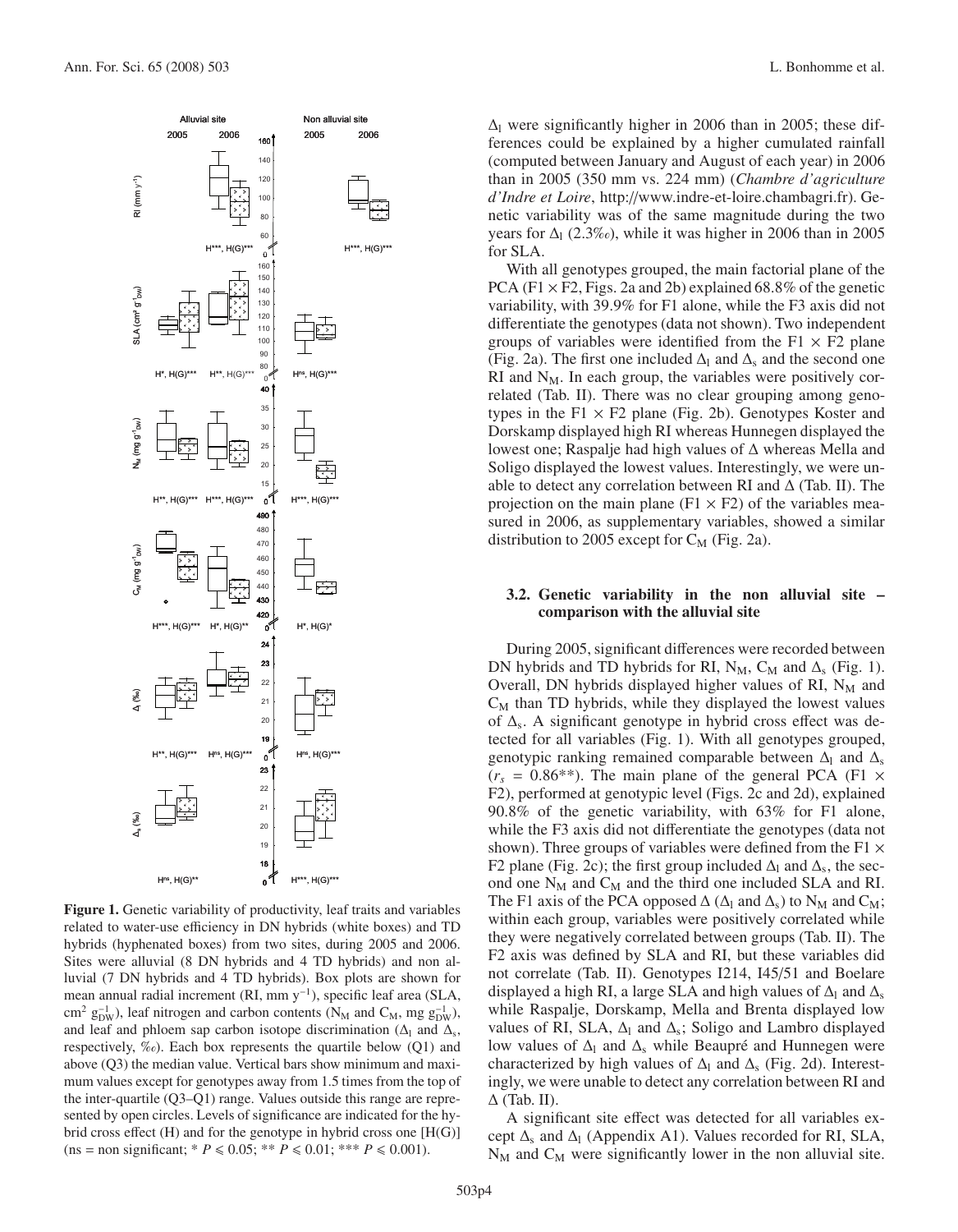

**Figure 1.** Genetic variability of productivity, leaf traits and variables related to water-use efficiency in DN hybrids (white boxes) and TD hybrids (hyphenated boxes) from two sites, during 2005 and 2006. Sites were alluvial (8 DN hybrids and 4 TD hybrids) and non alluvial (7 DN hybrids and 4 TD hybrids). Box plots are shown for mean annual radial increment (RI, mm y−1), specific leaf area (SLA, cm<sup>2</sup> g<sup>-1</sup><sub>DW</sub>), leaf nitrogen and carbon contents (N<sub>M</sub> and C<sub>M</sub>, mg g<sup>-1</sup><sub>DW</sub>), and leaf and phloem sap carbon isotope discrimination ( $\Delta$ <sub>l</sub> and  $\Delta$ <sub>s</sub>, respectively,  $\%$ <sub>o</sub>). Each box represents the quartile below (Q1) and above (Q3) the median value. Vertical bars show minimum and maximum values except for genotypes away from 1.5 times from the top of the inter-quartile (Q3–Q1) range. Values outside this range are represented by open circles. Levels of significance are indicated for the hybrid cross effect (H) and for the genotype in hybrid cross one [H(G)]  $(n s = non significant; * P \le 0.05; ** P \le 0.01; ** P \le 0.001).$ 

 $\Delta$ l were significantly higher in 2006 than in 2005; these differences could be explained by a higher cumulated rainfall (computed between January and August of each year) in 2006 than in 2005 (350 mm vs. 224 mm) (*Chambre d'agriculture d'Indre et Loire*, http://www.indre-et-loire.chambagri.fr). Genetic variability was of the same magnitude during the two years for  $\Delta_1$  (2.3‰), while it was higher in 2006 than in 2005 for SLA.

With all genotypes grouped, the main factorial plane of the PCA (F1  $\times$  F2, Figs. 2a and 2b) explained 68.8% of the genetic variability, with 39.9% for F1 alone, while the F3 axis did not differentiate the genotypes (data not shown). Two independent groups of variables were identified from the  $F1 \times F2$  plane (Fig. 2a). The first one included  $\Delta_1$  and  $\Delta_s$  and the second one  $RI$  and  $N_M$ . In each group, the variables were positively correlated (Tab. II). There was no clear grouping among genotypes in the  $F1 \times F2$  plane (Fig. 2b). Genotypes Koster and Dorskamp displayed high RI whereas Hunnegen displayed the lowest one; Raspalje had high values of Δ whereas Mella and Soligo displayed the lowest values. Interestingly, we were unable to detect any correlation between RI and  $\Delta$  (Tab. II). The projection on the main plane ( $F1 \times F2$ ) of the variables measured in 2006, as supplementary variables, showed a similar distribution to 2005 except for  $C_M$  (Fig. 2a).

## **3.2. Genetic variability in the non alluvial site – comparison with the alluvial site**

During 2005, significant differences were recorded between DN hybrids and TD hybrids for RI, N<sub>M</sub>, C<sub>M</sub> and  $\Delta$ <sub>s</sub> (Fig. 1). Overall, DN hybrids displayed higher values of RI,  $N_M$  and  $C_M$  than TD hybrids, while they displayed the lowest values of  $\Delta$ <sub>s</sub>. A significant genotype in hybrid cross effect was detected for all variables (Fig. 1). With all genotypes grouped, genotypic ranking remained comparable between  $\Delta_1$  and  $\Delta_s$  $(r<sub>s</sub> = 0.86^{**})$ . The main plane of the general PCA (F1  $\times$ F2), performed at genotypic level (Figs. 2c and 2d), explained 90.8% of the genetic variability, with 63% for F1 alone, while the F3 axis did not differentiate the genotypes (data not shown). Three groups of variables were defined from the F1  $\times$ F2 plane (Fig. 2c); the first group included  $\Delta_1$  and  $\Delta_2$ , the second one  $N_M$  and  $C_M$  and the third one included SLA and RI. The F1 axis of the PCA opposed  $\Delta$  ( $\Delta$ <sub>l</sub> and  $\Delta$ <sub>s</sub>) to N<sub>M</sub> and C<sub>M</sub>; within each group, variables were positively correlated while they were negatively correlated between groups (Tab. II). The F2 axis was defined by SLA and RI, but these variables did not correlate (Tab. II). Genotypes I214, I45/51 and Boelare displayed a high RI, a large SLA and high values of  $\Delta$ <sub>l</sub> and  $\Delta$ <sub>s</sub> while Raspalje, Dorskamp, Mella and Brenta displayed low values of RI, SLA,  $\Delta_1$  and  $\Delta_s$ ; Soligo and Lambro displayed low values of  $Δ_1$  and  $Δ_2$  while Beaupré and Hunnegen were characterized by high values of  $\Delta_l$  and  $\Delta_s$  (Fig. 2d). Interestingly, we were unable to detect any correlation between RI and  $\Delta$  (Tab. II).

A significant site effect was detected for all variables except  $\Delta_s$  and  $\Delta_l$  (Appendix A1). Values recorded for RI, SLA,  $N_M$  and  $C_M$  were significantly lower in the non alluvial site.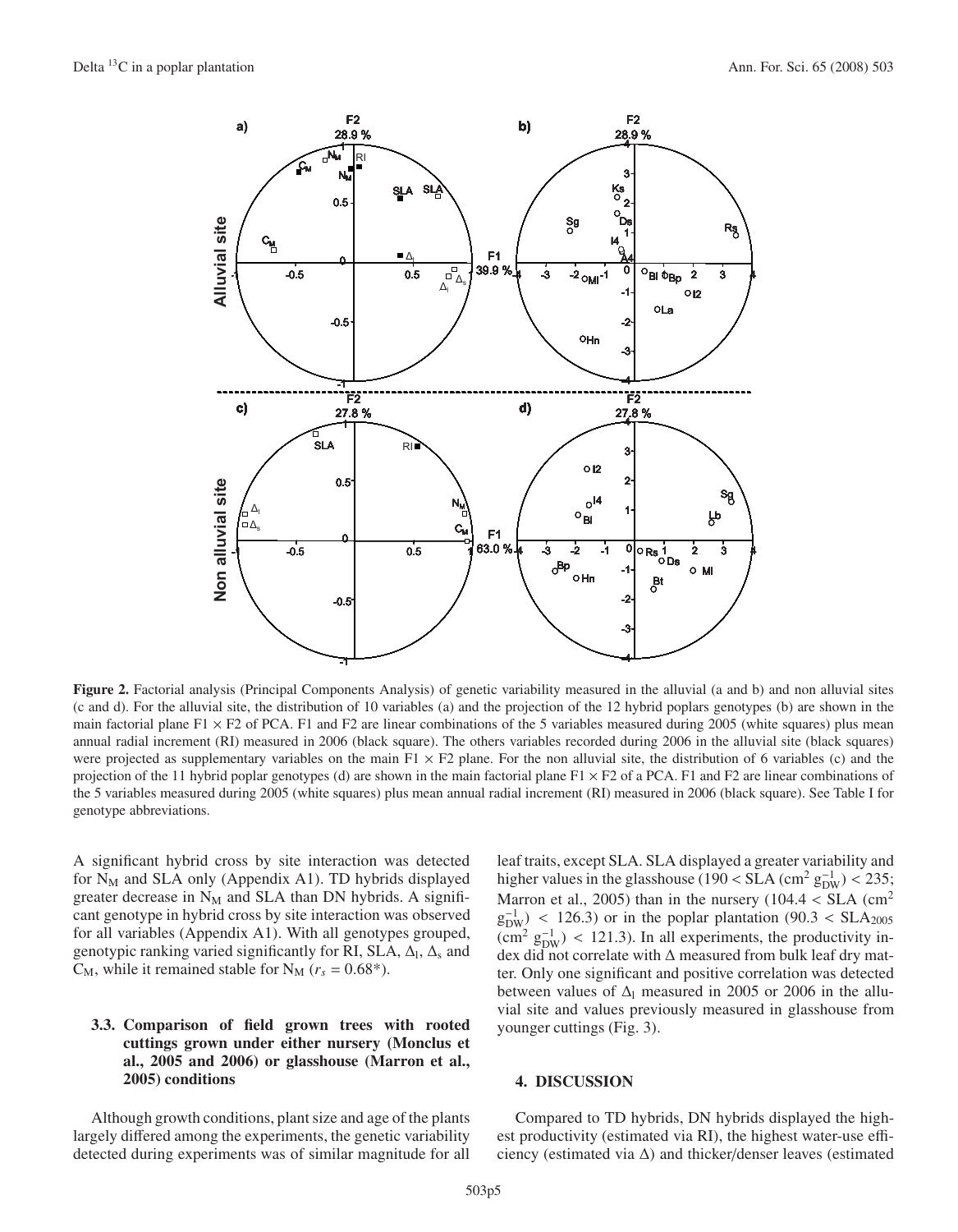

**Figure 2.** Factorial analysis (Principal Components Analysis) of genetic variability measured in the alluvial (a and b) and non alluvial sites (c and d). For the alluvial site, the distribution of 10 variables (a) and the projection of the 12 hybrid poplars genotypes (b) are shown in the main factorial plane F1  $\times$  F2 of PCA. F1 and F2 are linear combinations of the 5 variables measured during 2005 (white squares) plus mean annual radial increment (RI) measured in 2006 (black square). The others variables recorded during 2006 in the alluvial site (black squares) were projected as supplementary variables on the main  $F1 \times F2$  plane. For the non alluvial site, the distribution of 6 variables (c) and the projection of the 11 hybrid poplar genotypes (d) are shown in the main factorial plane  $F1 \times F2$  of a PCA. F1 and F2 are linear combinations of the 5 variables measured during 2005 (white squares) plus mean annual radial increment (RI) measured in 2006 (black square). See Table I for genotype abbreviations.

A significant hybrid cross by site interaction was detected for  $N_M$  and SLA only (Appendix A1). TD hybrids displayed greater decrease in  $N_M$  and SLA than DN hybrids. A significant genotype in hybrid cross by site interaction was observed for all variables (Appendix A1). With all genotypes grouped, genotypic ranking varied significantly for RI, SLA,  $\Delta_1$ ,  $\Delta_s$  and  $C_M$ , while it remained stable for  $N_M$  ( $r_s = 0.68^*$ ).

# **3.3. Comparison of field grown trees with rooted cuttings grown under either nursery (Monclus et al., 2005 and 2006) or glasshouse (Marron et al., 2005) conditions**

Although growth conditions, plant size and age of the plants largely differed among the experiments, the genetic variability detected during experiments was of similar magnitude for all

leaf traits, except SLA. SLA displayed a greater variability and higher values in the glasshouse (190 < SLA (cm<sup>2</sup>  $g_{DW}^{-1}$ ) < 235; Marron et al., 2005) than in the nursery  $(104.4 < SLA)$  (cm<sup>2</sup>)  $g_{DW}^{-1}$  < 126.3) or in the poplar plantation (90.3 < SLA<sub>2005</sub>)  $(\text{cm}^2 \text{ g}_{\text{DW}}^{-1})$  < 121.3). In all experiments, the productivity index did not correlate with Δ measured from bulk leaf dry matter. Only one significant and positive correlation was detected between values of  $\Delta$ <sup>l</sup> measured in 2005 or 2006 in the alluvial site and values previously measured in glasshouse from younger cuttings (Fig. 3).

# **4. DISCUSSION**

Compared to TD hybrids, DN hybrids displayed the highest productivity (estimated via RI), the highest water-use efficiency (estimated via  $\Delta$ ) and thicker/denser leaves (estimated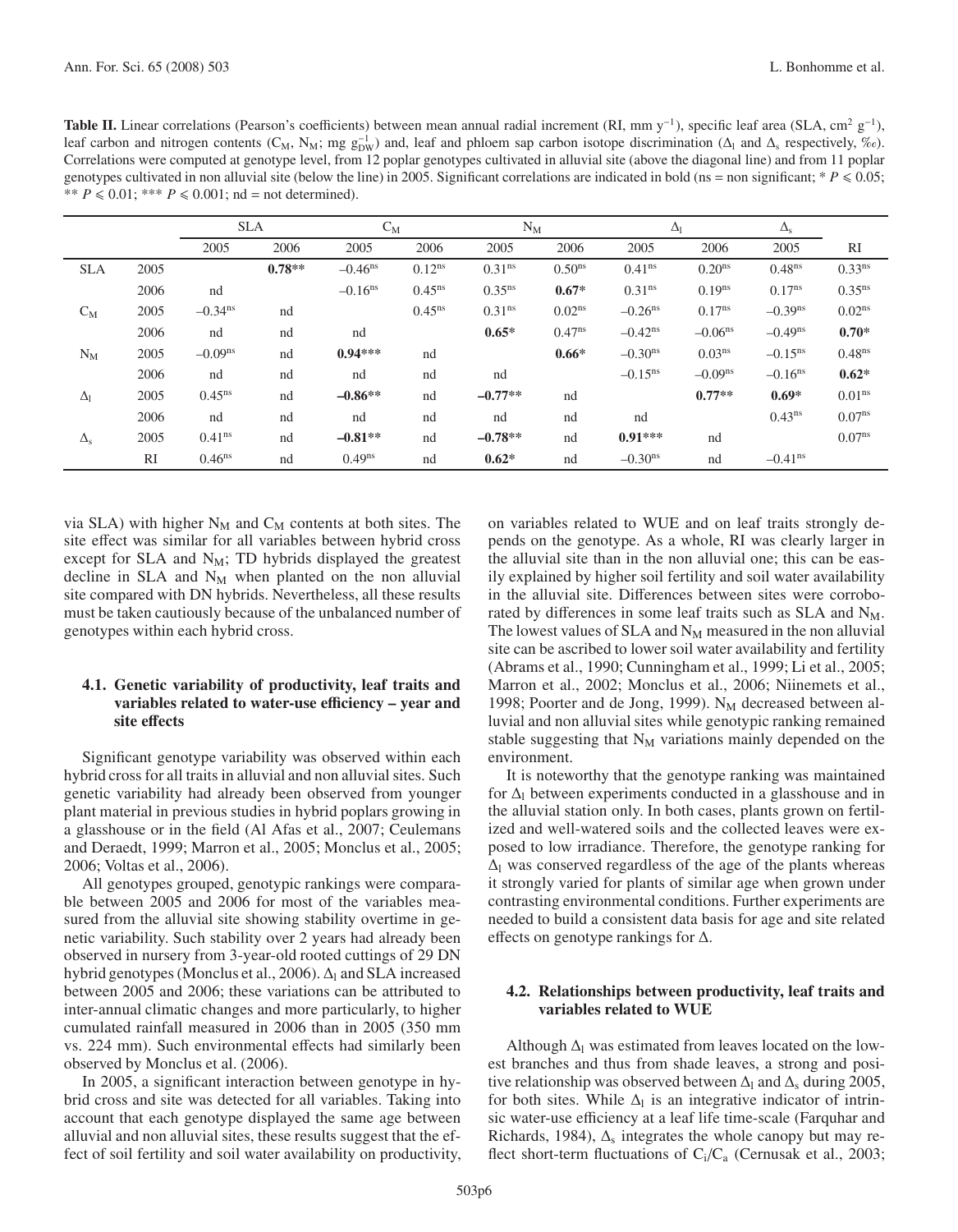|                       |      | <b>SLA</b>            |          | $C_M$                 |             | $N_M$              |                    | $\Delta_{\rm l}$      |                       | $\Delta_{\rm s}$      |                    |
|-----------------------|------|-----------------------|----------|-----------------------|-------------|--------------------|--------------------|-----------------------|-----------------------|-----------------------|--------------------|
|                       |      | 2005                  | 2006     | 2005                  | 2006        | 2005               | 2006               | 2005                  | 2006                  | 2005                  | RI                 |
| <b>SLA</b>            | 2005 |                       | $0.78**$ | $-0.46$ <sup>ns</sup> | $0.12^{ns}$ | 0.31 <sup>ns</sup> | 0.50 <sup>ns</sup> | 0.41 <sup>ns</sup>    | 0.20 <sup>ns</sup>    | 0.48 <sup>ns</sup>    | 0.33 <sup>ns</sup> |
|                       | 2006 | nd                    |          | $-0.16$ <sup>ns</sup> | $0.45^{ns}$ | $0.35^{ns}$        | $0.67*$            | 0.31 <sup>ns</sup>    | $0.19^{ns}$           | $0.17^{ns}$           | $0.35^{ns}$        |
| $C_M$                 | 2005 | $-0.34$ <sup>ns</sup> | nd       |                       | $0.45^{ns}$ | 0.31 <sup>ns</sup> | $0.02^{ns}$        | $-0.26$ <sup>ns</sup> | $0.17^{ns}$           | $-0.39$ <sup>ns</sup> | $0.02^{ns}$        |
|                       | 2006 | nd                    | nd       | nd                    |             | $0.65*$            | $0.47^{ns}$        | $-0.42$ <sup>ns</sup> | $-0.06$ <sup>ns</sup> | $-0.49$ <sup>ns</sup> | $0.70*$            |
| $N_M$                 | 2005 | $-0.09ns$             | nd       | $0.94***$             | nd          |                    | $0.66*$            | $-0.30ns$             | 0.03 <sup>ns</sup>    | $-0.15$ <sup>ns</sup> | 0.48 <sup>ns</sup> |
|                       | 2006 | nd                    | nd       | nd                    | nd          | nd                 |                    | $-0.15$ <sup>ns</sup> | $-0.09ns$             | $-0.16$ <sup>ns</sup> | $0.62*$            |
| $\Delta$ <sub>1</sub> | 2005 | $0.45^{ns}$           | nd       | $-0.86**$             | nd          | $-0.77**$          | nd                 |                       | $0.77**$              | $0.69*$               | 0.01 <sup>ns</sup> |
|                       | 2006 | nd                    | nd       | nd                    | nd          | nd                 | nd                 | nd                    |                       | 0.43 <sup>ns</sup>    | $0.07^{ns}$        |
| $\Delta_{\rm s}$      | 2005 | 0.41 <sup>ns</sup>    | nd       | $-0.81**$             | nd          | $-0.78**$          | nd                 | $0.91***$             | nd                    |                       | 0.07 <sup>ns</sup> |
|                       | RI   | 0.46 <sup>ns</sup>    | nd       | $0.49^{ns}$           | nd          | $0.62*$            | nd                 | $-0.30ns$             | nd                    | $-0.41$ <sup>ns</sup> |                    |

via SLA) with higher  $N_M$  and  $C_M$  contents at both sites. The site effect was similar for all variables between hybrid cross except for SLA and  $N_M$ ; TD hybrids displayed the greatest decline in SLA and  $N_M$  when planted on the non alluvial site compared with DN hybrids. Nevertheless, all these results must be taken cautiously because of the unbalanced number of genotypes within each hybrid cross.

# **4.1. Genetic variability of productivity, leaf traits and** variables related to water-use efficiency – year and **site e**ff**ects**

Significant genotype variability was observed within each hybrid cross for all traits in alluvial and non alluvial sites. Such genetic variability had already been observed from younger plant material in previous studies in hybrid poplars growing in a glasshouse or in the field (Al Afas et al., 2007; Ceulemans and Deraedt, 1999; Marron et al., 2005; Monclus et al., 2005; 2006; Voltas et al., 2006).

All genotypes grouped, genotypic rankings were comparable between 2005 and 2006 for most of the variables measured from the alluvial site showing stability overtime in genetic variability. Such stability over 2 years had already been observed in nursery from 3-year-old rooted cuttings of 29 DN hybrid genotypes (Monclus et al., 2006).  $\Delta_l$  and SLA increased between 2005 and 2006; these variations can be attributed to inter-annual climatic changes and more particularly, to higher cumulated rainfall measured in 2006 than in 2005 (350 mm vs. 224 mm). Such environmental effects had similarly been observed by Monclus et al. (2006).

In 2005, a significant interaction between genotype in hybrid cross and site was detected for all variables. Taking into account that each genotype displayed the same age between alluvial and non alluvial sites, these results suggest that the effect of soil fertility and soil water availability on productivity, on variables related to WUE and on leaf traits strongly depends on the genotype. As a whole, RI was clearly larger in the alluvial site than in the non alluvial one; this can be easily explained by higher soil fertility and soil water availability in the alluvial site. Differences between sites were corroborated by differences in some leaf traits such as  $SLA$  and  $N_M$ . The lowest values of SLA and  $N_M$  measured in the non alluvial site can be ascribed to lower soil water availability and fertility (Abrams et al., 1990; Cunningham et al., 1999; Li et al., 2005; Marron et al., 2002; Monclus et al., 2006; Niinemets et al., 1998; Poorter and de Jong, 1999).  $N_M$  decreased between alluvial and non alluvial sites while genotypic ranking remained stable suggesting that  $N_M$  variations mainly depended on the environment.

It is noteworthy that the genotype ranking was maintained for  $\Delta$  between experiments conducted in a glasshouse and in the alluvial station only. In both cases, plants grown on fertilized and well-watered soils and the collected leaves were exposed to low irradiance. Therefore, the genotype ranking for  $\Delta$ l was conserved regardless of the age of the plants whereas it strongly varied for plants of similar age when grown under contrasting environmental conditions. Further experiments are needed to build a consistent data basis for age and site related effects on genotype rankings for Δ.

# **4.2. Relationships between productivity, leaf traits and variables related to WUE**

Although  $\Delta_1$  was estimated from leaves located on the lowest branches and thus from shade leaves, a strong and positive relationship was observed between  $\Delta_l$  and  $\Delta_s$  during 2005, for both sites. While  $\Delta_l$  is an integrative indicator of intrinsic water-use efficiency at a leaf life time-scale (Farquhar and Richards, 1984),  $\Delta$ <sub>s</sub> integrates the whole canopy but may reflect short-term fluctuations of  $C_i/C_a$  (Cernusak et al., 2003;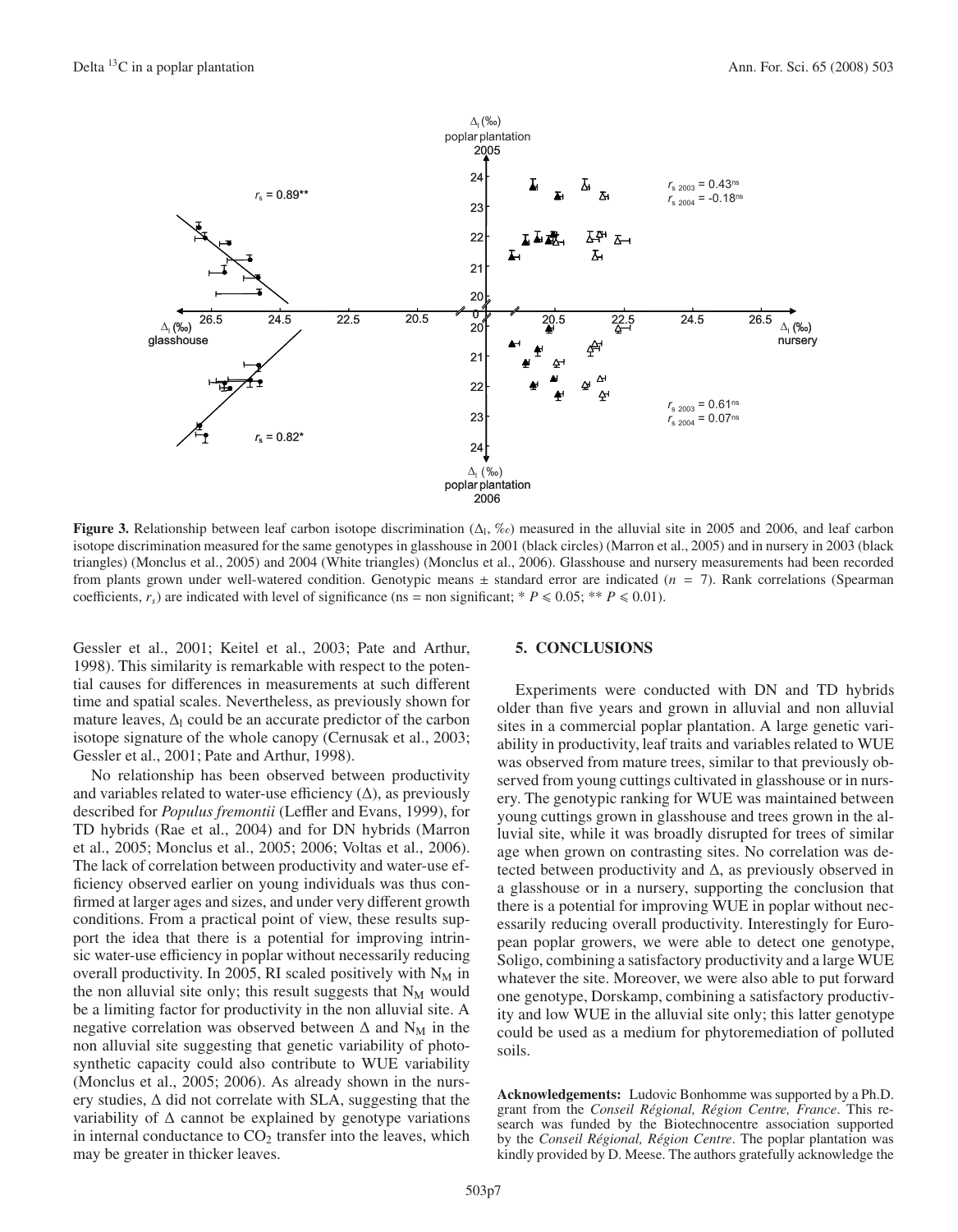

**Figure 3.** Relationship between leaf carbon isotope discrimination  $(\Delta_1, \mathcal{K}_0)$  measured in the alluvial site in 2005 and 2006, and leaf carbon isotope discrimination measured for the same genotypes in glasshouse in 2001 (black circles) (Marron et al., 2005) and in nursery in 2003 (black triangles) (Monclus et al., 2005) and 2004 (White triangles) (Monclus et al., 2006). Glasshouse and nursery measurements had been recorded from plants grown under well-watered condition. Genotypic means  $\pm$  standard error are indicated ( $n = 7$ ). Rank correlations (Spearman coefficients,  $r_s$ ) are indicated with level of significance (ns = non significant; \*  $P \le 0.05$ ; \*\*  $P \le 0.01$ ).

Gessler et al., 2001; Keitel et al., 2003; Pate and Arthur, 1998). This similarity is remarkable with respect to the potential causes for differences in measurements at such different time and spatial scales. Nevertheless, as previously shown for mature leaves,  $\Delta_l$  could be an accurate predictor of the carbon isotope signature of the whole canopy (Cernusak et al., 2003; Gessler et al., 2001; Pate and Arthur, 1998).

No relationship has been observed between productivity and variables related to water-use efficiency  $(\Delta)$ , as previously described for *Populus fremontii* (Leffler and Evans, 1999), for TD hybrids (Rae et al., 2004) and for DN hybrids (Marron et al., 2005; Monclus et al., 2005; 2006; Voltas et al., 2006). The lack of correlation between productivity and water-use efficiency observed earlier on young individuals was thus confirmed at larger ages and sizes, and under very different growth conditions. From a practical point of view, these results support the idea that there is a potential for improving intrinsic water-use efficiency in poplar without necessarily reducing overall productivity. In 2005, RI scaled positively with  $N_M$  in the non alluvial site only; this result suggests that  $N_M$  would be a limiting factor for productivity in the non alluvial site. A negative correlation was observed between  $\Delta$  and  $N_M$  in the non alluvial site suggesting that genetic variability of photosynthetic capacity could also contribute to WUE variability (Monclus et al., 2005; 2006). As already shown in the nursery studies, Δ did not correlate with SLA, suggesting that the variability of  $\Delta$  cannot be explained by genotype variations in internal conductance to  $CO<sub>2</sub>$  transfer into the leaves, which may be greater in thicker leaves.

## **5. CONCLUSIONS**

Experiments were conducted with DN and TD hybrids older than five years and grown in alluvial and non alluvial sites in a commercial poplar plantation. A large genetic variability in productivity, leaf traits and variables related to WUE was observed from mature trees, similar to that previously observed from young cuttings cultivated in glasshouse or in nursery. The genotypic ranking for WUE was maintained between young cuttings grown in glasshouse and trees grown in the alluvial site, while it was broadly disrupted for trees of similar age when grown on contrasting sites. No correlation was detected between productivity and  $\Delta$ , as previously observed in a glasshouse or in a nursery, supporting the conclusion that there is a potential for improving WUE in poplar without necessarily reducing overall productivity. Interestingly for European poplar growers, we were able to detect one genotype, Soligo, combining a satisfactory productivity and a large WUE whatever the site. Moreover, we were also able to put forward one genotype, Dorskamp, combining a satisfactory productivity and low WUE in the alluvial site only; this latter genotype could be used as a medium for phytoremediation of polluted soils.

**Acknowledgements:** Ludovic Bonhomme was supported by a Ph.D. grant from the *Conseil Régional, Région Centre, France*. This research was funded by the Biotechnocentre association supported by the *Conseil Régional, Région Centre*. The poplar plantation was kindly provided by D. Meese. The authors gratefully acknowledge the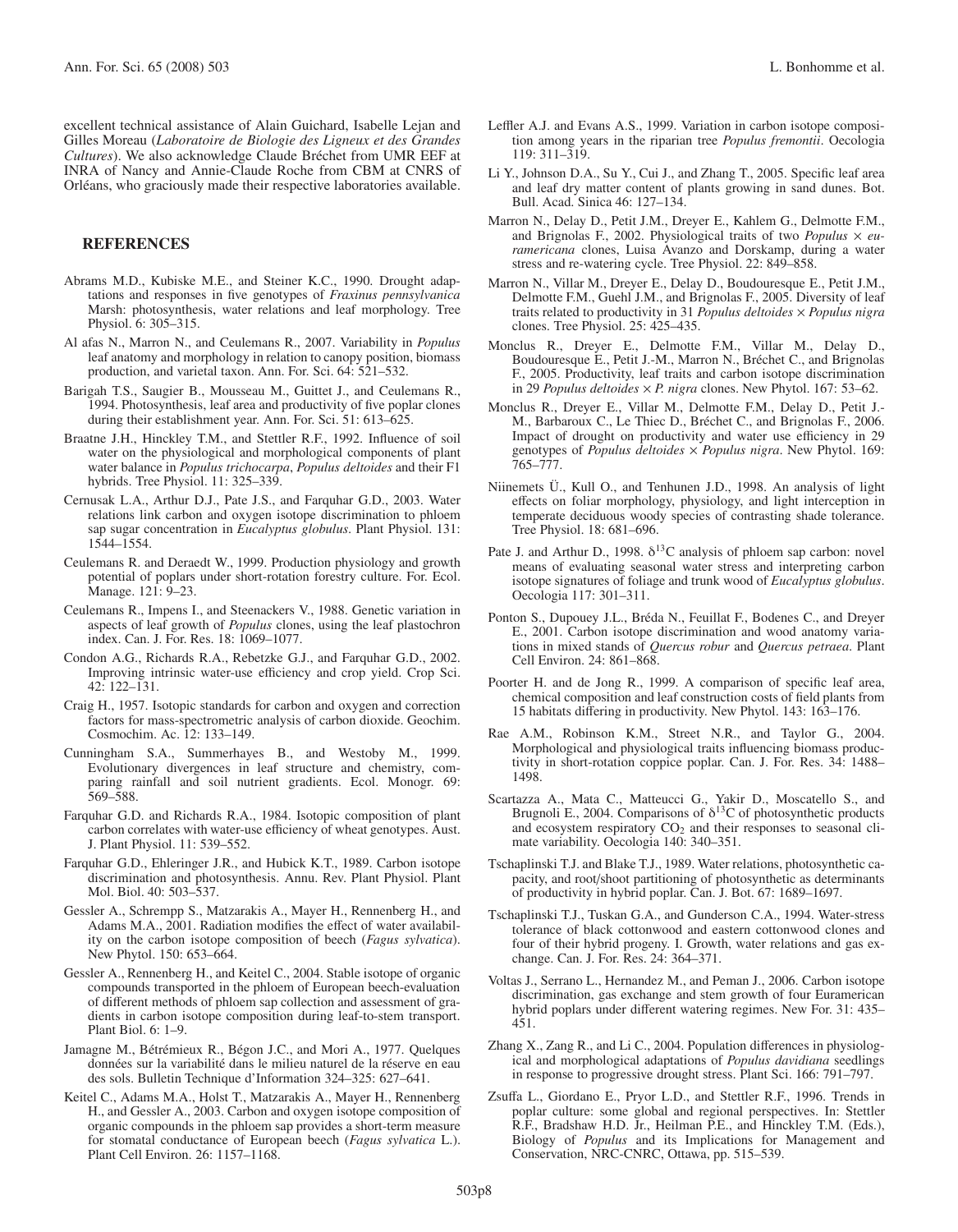excellent technical assistance of Alain Guichard, Isabelle Lejan and Gilles Moreau (*Laboratoire de Biologie des Ligneux et des Grandes Cultures*). We also acknowledge Claude Bréchet from UMR EEF at INRA of Nancy and Annie-Claude Roche from CBM at CNRS of Orléans, who graciously made their respective laboratories available.

# **REFERENCES**

- Abrams M.D., Kubiske M.E., and Steiner K.C., 1990. Drought adaptations and responses in five genotypes of *Fraxinus pennsylvanica* Marsh: photosynthesis, water relations and leaf morphology. Tree Physiol. 6: 305–315.
- Al afas N., Marron N., and Ceulemans R., 2007. Variability in *Populus* leaf anatomy and morphology in relation to canopy position, biomass production, and varietal taxon. Ann. For. Sci. 64: 521–532.
- Barigah T.S., Saugier B., Mousseau M., Guittet J., and Ceulemans R., 1994. Photosynthesis, leaf area and productivity of five poplar clones during their establishment year. Ann. For. Sci. 51: 613–625.
- Braatne J.H., Hinckley T.M., and Stettler R.F., 1992. Influence of soil water on the physiological and morphological components of plant water balance in *Populus trichocarpa*, *Populus deltoides* and their F1 hybrids. Tree Physiol. 11: 325–339.
- Cernusak L.A., Arthur D.J., Pate J.S., and Farquhar G.D., 2003. Water relations link carbon and oxygen isotope discrimination to phloem sap sugar concentration in *Eucalyptus globulus*. Plant Physiol. 131: 1544–1554.
- Ceulemans R. and Deraedt W., 1999. Production physiology and growth potential of poplars under short-rotation forestry culture. For. Ecol. Manage. 121: 9-23.
- Ceulemans R., Impens I., and Steenackers V., 1988. Genetic variation in aspects of leaf growth of *Populus* clones, using the leaf plastochron index. Can. J. For. Res. 18: 1069–1077.
- Condon A.G., Richards R.A., Rebetzke G.J., and Farquhar G.D., 2002. Improving intrinsic water-use efficiency and crop yield. Crop Sci. 42: 122–131.
- Craig H., 1957. Isotopic standards for carbon and oxygen and correction factors for mass-spectrometric analysis of carbon dioxide. Geochim. Cosmochim. Ac. 12: 133–149.
- Cunningham S.A., Summerhayes B., and Westoby M., 1999. Evolutionary divergences in leaf structure and chemistry, comparing rainfall and soil nutrient gradients. Ecol. Monogr. 69: 569–588.
- Farquhar G.D. and Richards R.A., 1984. Isotopic composition of plant carbon correlates with water-use efficiency of wheat genotypes. Aust. J. Plant Physiol. 11: 539–552.
- Farquhar G.D., Ehleringer J.R., and Hubick K.T., 1989. Carbon isotope discrimination and photosynthesis. Annu. Rev. Plant Physiol. Plant Mol. Biol. 40: 503–537.
- Gessler A., Schrempp S., Matzarakis A., Mayer H., Rennenberg H., and Adams M.A., 2001. Radiation modifies the effect of water availability on the carbon isotope composition of beech (*Fagus sylvatica*). New Phytol. 150: 653–664.
- Gessler A., Rennenberg H., and Keitel C., 2004. Stable isotope of organic compounds transported in the phloem of European beech-evaluation of different methods of phloem sap collection and assessment of gradients in carbon isotope composition during leaf-to-stem transport. Plant Biol. 6: 1–9.
- Jamagne M., Bétrémieux R., Bégon J.C., and Mori A., 1977. Quelques données sur la variabilité dans le milieu naturel de la réserve en eau des sols. Bulletin Technique d'Information 324–325: 627–641.
- Keitel C., Adams M.A., Holst T., Matzarakis A., Mayer H., Rennenberg H., and Gessler A., 2003. Carbon and oxygen isotope composition of organic compounds in the phloem sap provides a short-term measure for stomatal conductance of European beech (*Fagus sylvatica* L.). Plant Cell Environ. 26: 1157–1168.
- Leffler A.J. and Evans A.S., 1999. Variation in carbon isotope composition among years in the riparian tree *Populus fremontii*. Oecologia 119: 311–319.
- Li Y., Johnson D.A., Su Y., Cui J., and Zhang T., 2005. Specific leaf area and leaf dry matter content of plants growing in sand dunes. Bot. Bull. Acad. Sinica 46: 127–134.
- Marron N., Delay D., Petit J.M., Dreyer E., Kahlem G., Delmotte F.M., and Brignolas F., 2002. Physiological traits of two *Populus* × *euramericana* clones, Luisa Avanzo and Dorskamp, during a water stress and re-watering cycle. Tree Physiol. 22: 849–858.
- Marron N., Villar M., Drever E., Delay D., Boudouresque E., Petit J.M., Delmotte F.M., Guehl J.M., and Brignolas F., 2005. Diversity of leaf traits related to productivity in 31 *Populus deltoides* × *Populus nigra* clones. Tree Physiol. 25: 425–435.
- Monclus R., Dreyer E., Delmotte F.M., Villar M., Delay D., Boudouresque E., Petit J.-M., Marron N., Bréchet C., and Brignolas F., 2005. Productivity, leaf traits and carbon isotope discrimination in 29 *Populus deltoides* × *P. nigra* clones. New Phytol. 167: 53–62.
- Monclus R., Dreyer E., Villar M., Delmotte F.M., Delay D., Petit J.- M., Barbaroux C., Le Thiec D., Bréchet C., and Brignolas F., 2006. Impact of drought on productivity and water use efficiency in 29 genotypes of *Populus deltoides* × *Populus nigra*. New Phytol. 169: 765–777.
- Niinemets Ü., Kull O., and Tenhunen J.D., 1998. An analysis of light effects on foliar morphology, physiology, and light interception in temperate deciduous woody species of contrasting shade tolerance. Tree Physiol. 18: 681–696.
- Pate J. and Arthur D., 1998.  $\delta^{13}$ C analysis of phloem sap carbon: novel means of evaluating seasonal water stress and interpreting carbon isotope signatures of foliage and trunk wood of *Eucalyptus globulus*. Oecologia 117: 301–311.
- Ponton S., Dupouey J.L., Bréda N., Feuillat F., Bodenes C., and Dreyer E., 2001. Carbon isotope discrimination and wood anatomy variations in mixed stands of *Quercus robur* and *Quercus petraea*. Plant Cell Environ. 24: 861–868.
- Poorter H. and de Jong R., 1999. A comparison of specific leaf area, chemical composition and leaf construction costs of field plants from 15 habitats differing in productivity. New Phytol. 143: 163–176.
- Rae A.M., Robinson K.M., Street N.R., and Taylor G., 2004. Morphological and physiological traits influencing biomass productivity in short-rotation coppice poplar. Can. J. For. Res. 34: 1488– 1498.
- Scartazza A., Mata C., Matteucci G., Yakir D., Moscatello S., and Brugnoli E., 2004. Comparisons of  $\delta^{13}$ C of photosynthetic products and ecosystem respiratory  $CO<sub>2</sub>$  and their responses to seasonal climate variability. Oecologia 140: 340–351.
- Tschaplinski T.J. and Blake T.J., 1989. Water relations, photosynthetic capacity, and root/shoot partitioning of photosynthetic as determinants of productivity in hybrid poplar. Can. J. Bot. 67: 1689–1697.
- Tschaplinski T.J., Tuskan G.A., and Gunderson C.A., 1994. Water-stress tolerance of black cottonwood and eastern cottonwood clones and four of their hybrid progeny. I. Growth, water relations and gas exchange. Can. J. For. Res. 24: 364–371.
- Voltas J., Serrano L., Hernandez M., and Peman J., 2006. Carbon isotope discrimination, gas exchange and stem growth of four Euramerican hybrid poplars under different watering regimes. New For. 31: 435– 451.
- Zhang X., Zang R., and Li C., 2004. Population differences in physiological and morphological adaptations of *Populus davidiana* seedlings in response to progressive drought stress. Plant Sci. 166: 791–797.
- Zsuffa L., Giordano E., Pryor L.D., and Stettler R.F., 1996. Trends in poplar culture: some global and regional perspectives. In: Stettler R.F., Bradshaw H.D. Jr., Heilman P.E., and Hinckley T.M. (Eds.), Biology of *Populus* and its Implications for Management and Conservation, NRC-CNRC, Ottawa, pp. 515–539.